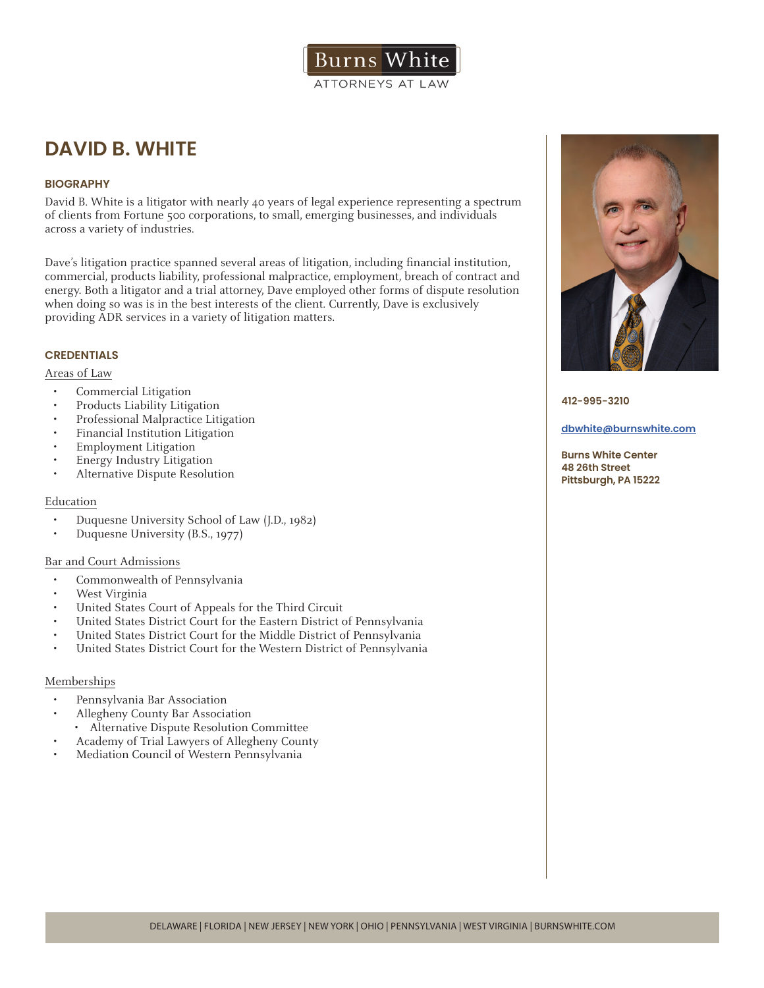# **DAVID B. WHITE**

## **BIOGRAPHY**

David B. White is a litigator with nearly 40 years of legal experience representing a spectrum of clients from Fortune 500 corporations, to small, emerging businesses, and individuals across a variety of industries.

Dave's litigation practice spanned several areas of litigation, including financial institution, commercial, products liability, professional malpractice, employment, breach of contract and energy. Both a litigator and a trial attorney, Dave employed other forms of dispute resolution when doing so was is in the best interests of the client. Currently, Dave is exclusively providing ADR services in a variety of litigation matters.

### **CREDENTIALS**

#### Areas of Law

- Commercial Litigation
- Products Liability Litigation
- Professional Malpractice Litigation
- Financial Institution Litigation
- Employment Litigation
- Energy Industry Litigation
- Alternative Dispute Resolution

### Education

- Duquesne University School of Law (J.D., 1982)
- Duquesne University (B.S., 1977)

### Bar and Court Admissions

- Commonwealth of Pennsylvania
- West Virginia
- United States Court of Appeals for the Third Circuit
- United States District Court for the Eastern District of Pennsylvania
- United States District Court for the Middle District of Pennsylvania
- United States District Court for the Western District of Pennsylvania

#### Memberships

- Pennsylvania Bar Association
- Allegheny County Bar Association
- Alternative Dispute Resolution Committee
- Academy of Trial Lawyers of Allegheny County
- Mediation Council of Western Pennsylvania



**412-995-3210**

**dbwhite@burnswhite.com**

**Burns White Center 48 26th Street Pittsburgh, PA 15222**